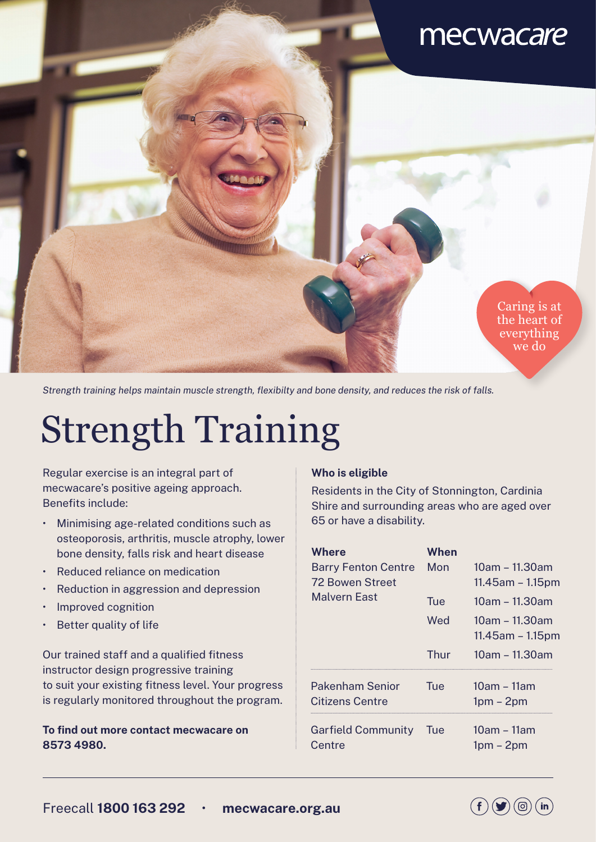## mecwacare

Caring is at the heart of everything we do

*Strength training helps maintain muscle strength, flexibilty and bone density, and reduces the risk of falls.*

# Strength Training

Regular exercise is an integral part of mecwacare's positive ageing approach. Benefits include:

- Minimising age-related conditions such as osteoporosis, arthritis, muscle atrophy, lower bone density, falls risk and heart disease
- Reduced reliance on medication
- Reduction in aggression and depression
- Improved cognition
- Better quality of life

Our trained staff and a qualified fitness instructor design progressive training to suit your existing fitness level. Your progress is regularly monitored throughout the program.

**To find out more contact mecwacare on 8573 4980.**

#### **Who is eligible**

Residents in the City of Stonnington, Cardinia Shire and surrounding areas who are aged over 65 or have a disability.

| Where<br><b>Barry Fenton Centre</b><br>72 Bowen Street<br>Malvern Fast | When<br>Mon | 10am – 11.30am<br>$11.45$ am – $1.15$ pm |
|------------------------------------------------------------------------|-------------|------------------------------------------|
|                                                                        | Tue         | 10am - 11.30am                           |
|                                                                        | Wed         | 10am – 11.30am<br>$11.45$ am – $1.15$ pm |
|                                                                        | Thur        | 10am – 11.30am                           |
| Pakenham Senior<br>Citizens Centre                                     | Tue         | $10am - 11am$<br>$1pm - 2pm$             |
| <b>Garfield Community</b><br>Centre                                    | -lue        | 10am – 11am<br>$1pm - 2pm$               |